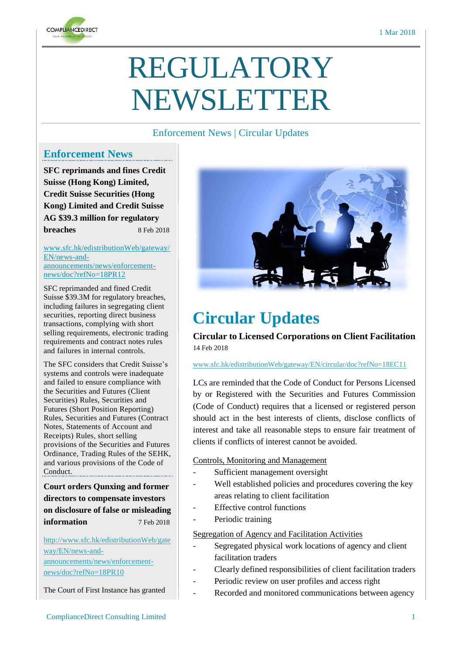

# REGULATORY NEWSLETTER

#### Enforcement News | Circular Updates

### **Enforcement News**

**SFC reprimands and fines Credit Suisse (Hong Kong) Limited, Credit Suisse Securities (Hong Kong) Limited and Credit Suisse AG \$39.3 million for regulatory breaches** 8 Feb 2018

[www.sfc.hk/edistributionWeb/gateway/](http://www.sfc.hk/edistributionWeb/gateway/EN/news-and-announcements/news/enforcement-news/doc?refNo=18PR12) [EN/news-and](http://www.sfc.hk/edistributionWeb/gateway/EN/news-and-announcements/news/enforcement-news/doc?refNo=18PR12)[announcements/news/enforcement](http://www.sfc.hk/edistributionWeb/gateway/EN/news-and-announcements/news/enforcement-news/doc?refNo=18PR12)[news/doc?refNo=18PR12](http://www.sfc.hk/edistributionWeb/gateway/EN/news-and-announcements/news/enforcement-news/doc?refNo=18PR12)

SFC reprimanded and fined Credit Suisse \$39.3M for regulatory breaches, including failures in segregating client securities, reporting direct business transactions, complying with short selling requirements, electronic trading requirements and contract notes rules and failures in internal controls.

The SFC considers that Credit Suisse's systems and controls were inadequate and failed to ensure compliance with the Securities and Futures (Client Securities) Rules, Securities and Futures (Short Position Reporting) Rules, Securities and Futures (Contract Notes, Statements of Account and Receipts) Rules, short selling provisions of the Securities and Futures Ordinance, Trading Rules of the SEHK, and various provisions of the Code of Conduct.

**Court orders Qunxing and former directors to compensate investors on disclosure of false or misleading information** 7 Feb 2018

[http://www.sfc.hk/edistributionWeb/gate](http://www.sfc.hk/edistributionWeb/gateway/EN/news-and-announcements/news/enforcement-news/doc?refNo=18PR10) [way/EN/news-and](http://www.sfc.hk/edistributionWeb/gateway/EN/news-and-announcements/news/enforcement-news/doc?refNo=18PR10)[announcements/news/enforcement-](http://www.sfc.hk/edistributionWeb/gateway/EN/news-and-announcements/news/enforcement-news/doc?refNo=18PR10)

[news/doc?refNo=18PR10](http://www.sfc.hk/edistributionWeb/gateway/EN/news-and-announcements/news/enforcement-news/doc?refNo=18PR10)

The Court of First Instance has granted



# **Circular Updates**

**Circular to Licensed Corporations on Client Facilitation**  14 Feb 2018

[www.sfc.hk/edistributionWeb/gateway/EN/circular/doc?refNo=18EC11](http://www.sfc.hk/edistributionWeb/gateway/EN/circular/doc?refNo=18EC11)

LCs are reminded that the Code of Conduct for Persons Licensed by or Registered with the Securities and Futures Commission (Code of Conduct) requires that a licensed or registered person should act in the best interests of clients, disclose conflicts of interest and take all reasonable steps to ensure fair treatment of clients if conflicts of interest cannot be avoided.

Controls, Monitoring and Management

- Sufficient management oversight
- Well established policies and procedures covering the key areas relating to client facilitation
- Effective control functions
- Periodic training

Segregation of Agency and Facilitation Activities

- Segregated physical work locations of agency and client facilitation traders
- Clearly defined responsibilities of client facilitation traders
- Periodic review on user profiles and access right
- Recorded and monitored communications between agency